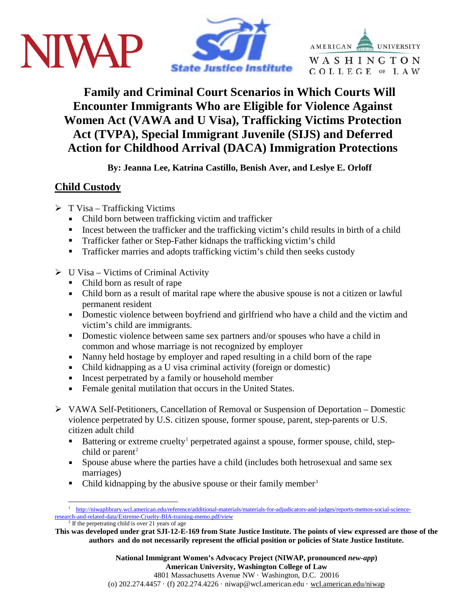





**Family and Criminal Court Scenarios in Which Courts Will Encounter Immigrants Who are Eligible for Violence Against Women Act (VAWA and U Visa), Trafficking Victims Protection Act (TVPA), Special Immigrant Juvenile (SIJS) and Deferred Action for Childhood Arrival (DACA) Immigration Protections**

**By: Jeanna Lee, Katrina Castillo, Benish Aver, and Leslye E. Orloff**

# **Child Custody**

- $\triangleright$  T Visa Trafficking Victims
	- Child born between trafficking victim and trafficker
	- Incest between the trafficker and the trafficking victim's child results in birth of a child
	- **Trafficker father or Step-Father kidnaps the trafficking victim's child**
	- **Trafficker marries and adopts trafficking victim's child then seeks custody**
- $\triangleright$  U Visa Victims of Criminal Activity
	- Child born as result of rape
	- Child born as a result of marital rape where the abusive spouse is not a citizen or lawful permanent resident
	- Domestic violence between boyfriend and girlfriend who have a child and the victim and victim's child are immigrants.
	- Domestic violence between same sex partners and/or spouses who have a child in common and whose marriage is not recognized by employer
	- Nanny held hostage by employer and raped resulting in a child born of the rape
	- Child kidnapping as a U visa criminal activity (foreign or domestic)
	- Incest perpetrated by a family or household member
	- Female genital mutilation that occurs in the United States.
- VAWA Self-Petitioners, Cancellation of Removal or Suspension of Deportation Domestic violence perpetrated by U.S. citizen spouse, former spouse, parent, step-parents or U.S. citizen adult child
	- Battering or extreme cruelty<sup>[1](#page-0-0)</sup> perpetrated against a spouse, former spouse, child, step-child or parent<sup>[2](#page-0-1)</sup>
	- Spouse abuse where the parties have a child (includes both hetrosexual and same sex marriages)
	- Child kidnapping by the abusive spouse or their family member<sup>[3](#page-0-2)</sup>

<span id="page-0-0"></span><sup>&</sup>lt;sup>1</sup> [http://niwaplibrary.wcl.american.edu/reference/additional-materials/materials-for-adjudicators-and-judges/reports-memos-social-science](http://niwaplibrary.wcl.american.edu/reference/additional-materials/materials-for-adjudicators-and-judges/reports-memos-social-science-research-and-related-data/Extreme-Cruelty-BIA-training-memo.pdf/view)[research-and-related-data/Extreme-Cruelty-BIA-training-memo.pdf/view](http://niwaplibrary.wcl.american.edu/reference/additional-materials/materials-for-adjudicators-and-judges/reports-memos-social-science-research-and-related-data/Extreme-Cruelty-BIA-training-memo.pdf/view)  $2$  If the perpetrating child is over 21 years of age

<span id="page-0-2"></span><span id="page-0-1"></span>**This was developed under grat SJI-12-E-169 from State Justice Institute. The points of view expressed are those of the authors and do not necessarily represent the official position or policies of State Justice Institute.**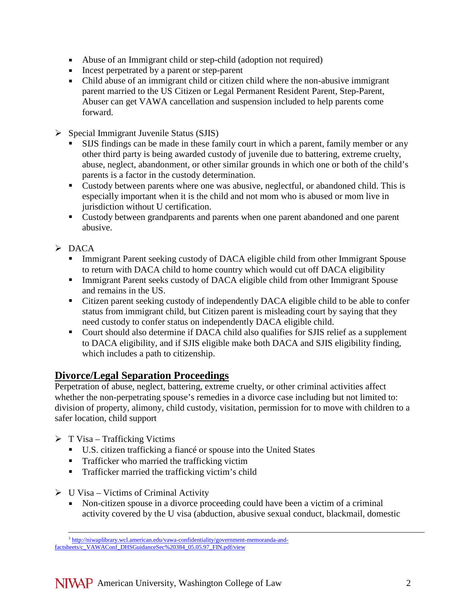- Abuse of an Immigrant child or step-child (adoption not required)
- Incest perpetrated by a parent or step-parent
- Child abuse of an immigrant child or citizen child where the non-abusive immigrant parent married to the US Citizen or Legal Permanent Resident Parent, Step-Parent, Abuser can get VAWA cancellation and suspension included to help parents come forward.
- $\triangleright$  Special Immigrant Juvenile Status (SJIS)
	- SIJS findings can be made in these family court in which a parent, family member or any other third party is being awarded custody of juvenile due to battering, extreme cruelty, abuse, neglect, abandonment, or other similar grounds in which one or both of the child's parents is a factor in the custody determination.
	- Custody between parents where one was abusive, neglectful, or abandoned child. This is especially important when it is the child and not mom who is abused or mom live in jurisdiction without U certification.
	- Custody between grandparents and parents when one parent abandoned and one parent abusive.
- $\triangleright$  DACA
	- Immigrant Parent seeking custody of DACA eligible child from other Immigrant Spouse to return with DACA child to home country which would cut off DACA eligibility
	- Immigrant Parent seeks custody of DACA eligible child from other Immigrant Spouse and remains in the US.
	- Citizen parent seeking custody of independently DACA eligible child to be able to confer status from immigrant child, but Citizen parent is misleading court by saying that they need custody to confer status on independently DACA eligible child.
	- Court should also determine if DACA child also qualifies for SJIS relief as a supplement to DACA eligibility, and if SJIS eligible make both DACA and SJIS eligibility finding, which includes a path to citizenship.

#### **Divorce/Legal Separation Proceedings**

Perpetration of abuse, neglect, battering, extreme cruelty, or other criminal activities affect whether the non-perpetrating spouse's remedies in a divorce case including but not limited to: division of property, alimony, child custody, visitation, permission for to move with children to a safer location, child support

- $\triangleright$  T Visa Trafficking Victims
	- U.S. citizen trafficking a fiancé or spouse into the United States
	- **Trafficker who married the trafficking victim**
	- **Trafficker married the trafficking victim's child**
- $\triangleright$  U Visa Victims of Criminal Activity
	- Non-citizen spouse in a divorce proceeding could have been a victim of a criminal activity covered by the U visa (abduction, abusive sexual conduct, blackmail, domestic

<sup>&</sup>lt;sup>3</sup> [http://niwaplibrary.wcl.american.edu/vawa-confidentiality/government-memoranda-and](http://niwaplibrary.wcl.american.edu/vawa-confidentiality/government-memoranda-and-factsheets/c_VAWAConf_DHSGuidanceSec%20384_05.05.97_FIN.pdf/view)[factsheets/c\\_VAWAConf\\_DHSGuidanceSec%20384\\_05.05.97\\_FIN.pdf/view](http://niwaplibrary.wcl.american.edu/vawa-confidentiality/government-memoranda-and-factsheets/c_VAWAConf_DHSGuidanceSec%20384_05.05.97_FIN.pdf/view)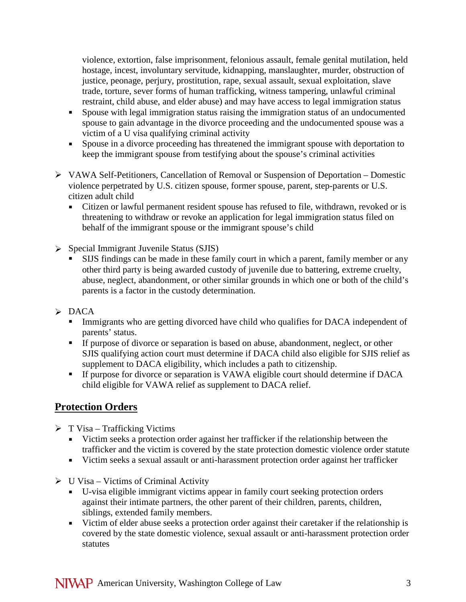violence, extortion, false imprisonment, felonious assault, female genital mutilation, held hostage, incest, involuntary servitude, kidnapping, manslaughter, murder, obstruction of justice, peonage, perjury, prostitution, rape, sexual assault, sexual exploitation, slave trade, torture, sever forms of human trafficking, witness tampering, unlawful criminal restraint, child abuse, and elder abuse) and may have access to legal immigration status

- Spouse with legal immigration status raising the immigration status of an undocumented spouse to gain advantage in the divorce proceeding and the undocumented spouse was a victim of a U visa qualifying criminal activity
- Spouse in a divorce proceeding has threatened the immigrant spouse with deportation to keep the immigrant spouse from testifying about the spouse's criminal activities
- VAWA Self-Petitioners, Cancellation of Removal or Suspension of Deportation Domestic violence perpetrated by U.S. citizen spouse, former spouse, parent, step-parents or U.S. citizen adult child
	- Citizen or lawful permanent resident spouse has refused to file, withdrawn, revoked or is threatening to withdraw or revoke an application for legal immigration status filed on behalf of the immigrant spouse or the immigrant spouse's child
- $\triangleright$  Special Immigrant Juvenile Status (SJIS)
	- SIJS findings can be made in these family court in which a parent, family member or any other third party is being awarded custody of juvenile due to battering, extreme cruelty, abuse, neglect, abandonment, or other similar grounds in which one or both of the child's parents is a factor in the custody determination.
- $\triangleright$  DACA
	- Immigrants who are getting divorced have child who qualifies for DACA independent of parents' status.
	- If purpose of divorce or separation is based on abuse, abandonment, neglect, or other SJIS qualifying action court must determine if DACA child also eligible for SJIS relief as supplement to DACA eligibility, which includes a path to citizenship.
	- If purpose for divorce or separation is VAWA eligible court should determine if DACA child eligible for VAWA relief as supplement to DACA relief.

## **Protection Orders**

- $\triangleright$  T Visa Trafficking Victims
	- Victim seeks a protection order against her trafficker if the relationship between the trafficker and the victim is covered by the state protection domestic violence order statute
	- Victim seeks a sexual assault or anti-harassment protection order against her trafficker
- $\triangleright$  U Visa Victims of Criminal Activity
	- U-visa eligible immigrant victims appear in family court seeking protection orders against their intimate partners, the other parent of their children, parents, children, siblings, extended family members.
	- Victim of elder abuse seeks a protection order against their caretaker if the relationship is covered by the state domestic violence, sexual assault or anti-harassment protection order statutes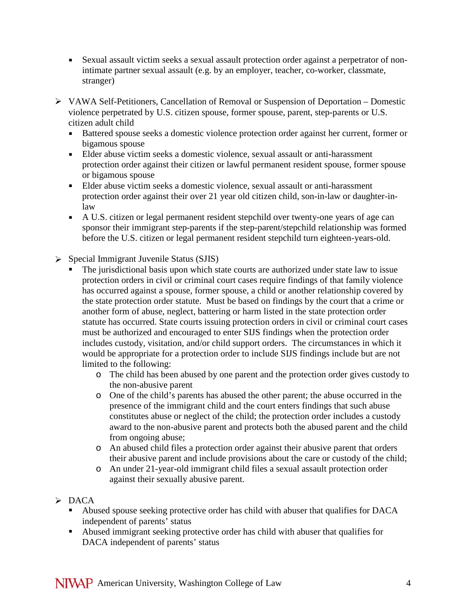- Sexual assault victim seeks a sexual assault protection order against a perpetrator of nonintimate partner sexual assault (e.g. by an employer, teacher, co-worker, classmate, stranger)
- VAWA Self-Petitioners, Cancellation of Removal or Suspension of Deportation Domestic violence perpetrated by U.S. citizen spouse, former spouse, parent, step-parents or U.S. citizen adult child
	- Battered spouse seeks a domestic violence protection order against her current, former or bigamous spouse
	- Elder abuse victim seeks a domestic violence, sexual assault or anti-harassment protection order against their citizen or lawful permanent resident spouse, former spouse or bigamous spouse
	- Elder abuse victim seeks a domestic violence, sexual assault or anti-harassment protection order against their over 21 year old citizen child, son-in-law or daughter-inlaw
	- A U.S. citizen or legal permanent resident stepchild over twenty-one years of age can sponsor their immigrant step-parents if the step-parent/stepchild relationship was formed before the U.S. citizen or legal permanent resident stepchild turn eighteen-years-old.
- Special Immigrant Juvenile Status (SJIS)
	- The jurisdictional basis upon which state courts are authorized under state law to issue protection orders in civil or criminal court cases require findings of that family violence has occurred against a spouse, former spouse, a child or another relationship covered by the state protection order statute. Must be based on findings by the court that a crime or another form of abuse, neglect, battering or harm listed in the state protection order statute has occurred. State courts issuing protection orders in civil or criminal court cases must be authorized and encouraged to enter SIJS findings when the protection order includes custody, visitation, and/or child support orders. The circumstances in which it would be appropriate for a protection order to include SIJS findings include but are not limited to the following:
		- o The child has been abused by one parent and the protection order gives custody to the non-abusive parent
		- o One of the child's parents has abused the other parent; the abuse occurred in the presence of the immigrant child and the court enters findings that such abuse constitutes abuse or neglect of the child; the protection order includes a custody award to the non-abusive parent and protects both the abused parent and the child from ongoing abuse;
		- o An abused child files a protection order against their abusive parent that orders their abusive parent and include provisions about the care or custody of the child;
		- o An under 21-year-old immigrant child files a sexual assault protection order against their sexually abusive parent.
- $\triangleright$  DACA
	- Abused spouse seeking protective order has child with abuser that qualifies for DACA independent of parents' status
	- Abused immigrant seeking protective order has child with abuser that qualifies for DACA independent of parents' status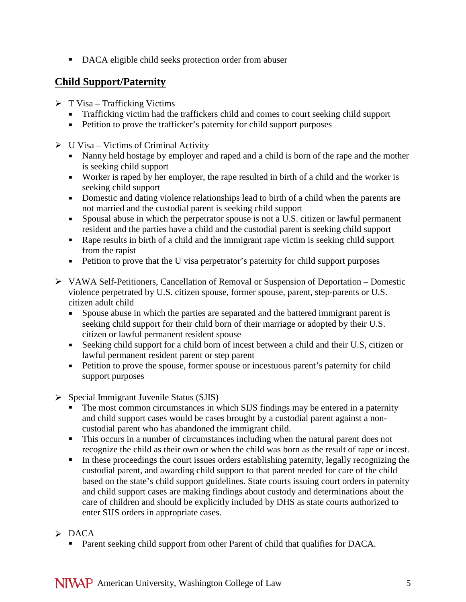■ DACA eligible child seeks protection order from abuser

### **Child Support/Paternity**

- $\triangleright$  T Visa Trafficking Victims
	- Trafficking victim had the traffickers child and comes to court seeking child support
	- Petition to prove the trafficker's paternity for child support purposes
- $\triangleright$  U Visa Victims of Criminal Activity
	- Nanny held hostage by employer and raped and a child is born of the rape and the mother is seeking child support
	- Worker is raped by her employer, the rape resulted in birth of a child and the worker is seeking child support
	- Domestic and dating violence relationships lead to birth of a child when the parents are not married and the custodial parent is seeking child support
	- Spousal abuse in which the perpetrator spouse is not a U.S. citizen or lawful permanent resident and the parties have a child and the custodial parent is seeking child support
	- Rape results in birth of a child and the immigrant rape victim is seeking child support from the rapist
	- Petition to prove that the U visa perpetrator's paternity for child support purposes
- VAWA Self-Petitioners, Cancellation of Removal or Suspension of Deportation Domestic violence perpetrated by U.S. citizen spouse, former spouse, parent, step-parents or U.S. citizen adult child
	- Spouse abuse in which the parties are separated and the battered immigrant parent is seeking child support for their child born of their marriage or adopted by their U.S. citizen or lawful permanent resident spouse
	- Seeking child support for a child born of incest between a child and their U.S, citizen or lawful permanent resident parent or step parent
	- **Petition to prove the spouse, former spouse or incestuous parent's paternity for child** support purposes
- $\triangleright$  Special Immigrant Juvenile Status (SJIS)
	- The most common circumstances in which SIJS findings may be entered in a paternity and child support cases would be cases brought by a custodial parent against a noncustodial parent who has abandoned the immigrant child.
	- This occurs in a number of circumstances including when the natural parent does not recognize the child as their own or when the child was born as the result of rape or incest.
	- In these proceedings the court issues orders establishing paternity, legally recognizing the custodial parent, and awarding child support to that parent needed for care of the child based on the state's child support guidelines. State courts issuing court orders in paternity and child support cases are making findings about custody and determinations about the care of children and should be explicitly included by DHS as state courts authorized to enter SIJS orders in appropriate cases.
- $\triangleright$  DACA
	- **Parent seeking child support from other Parent of child that qualifies for DACA.**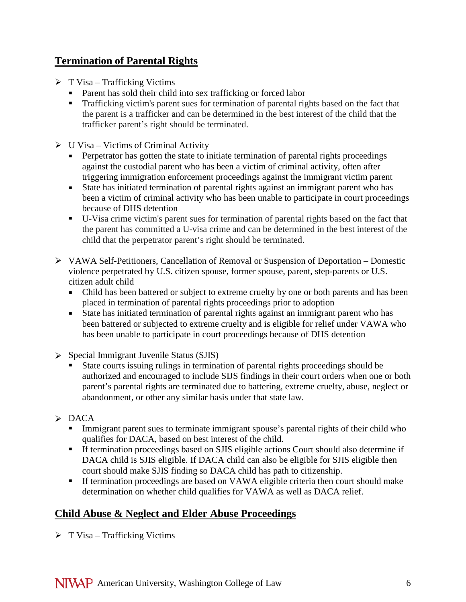## **Termination of Parental Rights**

- $\triangleright$  T Visa Trafficking Victims
	- Parent has sold their child into sex trafficking or forced labor
	- **Trafficking victim's parent sues for termination of parental rights based on the fact that** the parent is a trafficker and can be determined in the best interest of the child that the trafficker parent's right should be terminated.
- $\triangleright$  U Visa Victims of Criminal Activity
	- **Perpetrator has gotten the state to initiate termination of parental rights proceedings** against the custodial parent who has been a victim of criminal activity, often after triggering immigration enforcement proceedings against the immigrant victim parent
	- State has initiated termination of parental rights against an immigrant parent who has been a victim of criminal activity who has been unable to participate in court proceedings because of DHS detention
	- U-Visa crime victim's parent sues for termination of parental rights based on the fact that the parent has committed a U-visa crime and can be determined in the best interest of the child that the perpetrator parent's right should be terminated.
- $\triangleright$  VAWA Self-Petitioners, Cancellation of Removal or Suspension of Deportation Domestic violence perpetrated by U.S. citizen spouse, former spouse, parent, step-parents or U.S. citizen adult child
	- Child has been battered or subject to extreme cruelty by one or both parents and has been placed in termination of parental rights proceedings prior to adoption
	- State has initiated termination of parental rights against an immigrant parent who has been battered or subjected to extreme cruelty and is eligible for relief under VAWA who has been unable to participate in court proceedings because of DHS detention
- $\triangleright$  Special Immigrant Juvenile Status (SJIS)
	- State courts issuing rulings in termination of parental rights proceedings should be authorized and encouraged to include SIJS findings in their court orders when one or both parent's parental rights are terminated due to battering, extreme cruelty, abuse, neglect or abandonment, or other any similar basis under that state law.
- $\triangleright$  DACA
	- Immigrant parent sues to terminate immigrant spouse's parental rights of their child who qualifies for DACA, based on best interest of the child.
	- If termination proceedings based on SJIS eligible actions Court should also determine if DACA child is SJIS eligible. If DACA child can also be eligible for SJIS eligible then court should make SJIS finding so DACA child has path to citizenship.
	- If termination proceedings are based on VAWA eligible criteria then court should make determination on whether child qualifies for VAWA as well as DACA relief.

## **Child Abuse & Neglect and Elder Abuse Proceedings**

 $\triangleright$  T Visa – Trafficking Victims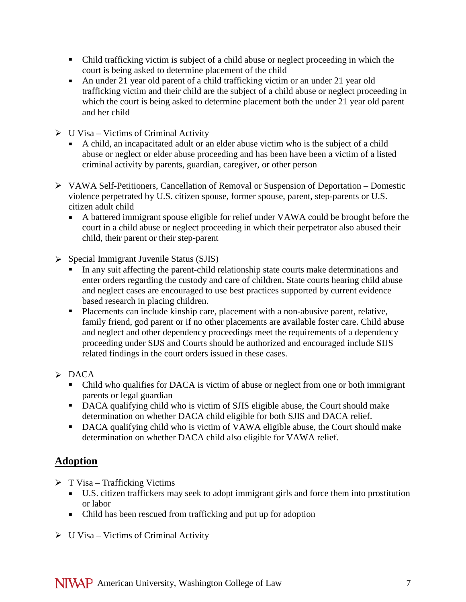- Child trafficking victim is subject of a child abuse or neglect proceeding in which the court is being asked to determine placement of the child
- An under 21 year old parent of a child trafficking victim or an under 21 year old trafficking victim and their child are the subject of a child abuse or neglect proceeding in which the court is being asked to determine placement both the under 21 year old parent and her child
- $\triangleright$  U Visa Victims of Criminal Activity
	- A child, an incapacitated adult or an elder abuse victim who is the subject of a child abuse or neglect or elder abuse proceeding and has been have been a victim of a listed criminal activity by parents, guardian, caregiver, or other person
- VAWA Self-Petitioners, Cancellation of Removal or Suspension of Deportation Domestic violence perpetrated by U.S. citizen spouse, former spouse, parent, step-parents or U.S. citizen adult child
	- A battered immigrant spouse eligible for relief under VAWA could be brought before the court in a child abuse or neglect proceeding in which their perpetrator also abused their child, their parent or their step-parent
- Special Immigrant Juvenile Status (SJIS)
	- In any suit affecting the parent-child relationship state courts make determinations and enter orders regarding the custody and care of children. State courts hearing child abuse and neglect cases are encouraged to use best practices supported by current evidence based research in placing children.
	- **Placements can include kinship care, placement with a non-abusive parent, relative,** family friend, god parent or if no other placements are available foster care. Child abuse and neglect and other dependency proceedings meet the requirements of a dependency proceeding under SIJS and Courts should be authorized and encouraged include SIJS related findings in the court orders issued in these cases.
- $\triangleright$  DACA
	- Child who qualifies for DACA is victim of abuse or neglect from one or both immigrant parents or legal guardian
	- DACA qualifying child who is victim of SJIS eligible abuse, the Court should make determination on whether DACA child eligible for both SJIS and DACA relief.
	- DACA qualifying child who is victim of VAWA eligible abuse, the Court should make determination on whether DACA child also eligible for VAWA relief.

# **Adoption**

- $\triangleright$  T Visa Trafficking Victims
	- U.S. citizen traffickers may seek to adopt immigrant girls and force them into prostitution or labor
	- Child has been rescued from trafficking and put up for adoption
- $\triangleright$  U Visa Victims of Criminal Activity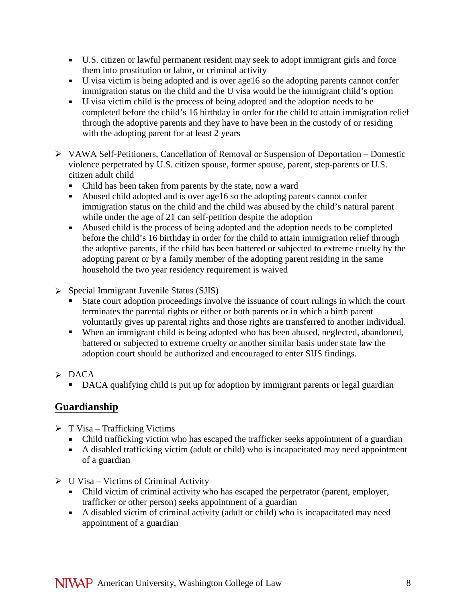- U.S. citizen or lawful permanent resident may seek to adopt immigrant girls and force them into prostitution or labor, or criminal activity
- U visa victim is being adopted and is over age16 so the adopting parents cannot confer immigration status on the child and the U visa would be the immigrant child's option
- U visa victim child is the process of being adopted and the adoption needs to be completed before the child's 16 birthday in order for the child to attain immigration relief through the adoptive parents and they have to have been in the custody of or residing with the adopting parent for at least 2 years
- VAWA Self-Petitioners, Cancellation of Removal or Suspension of Deportation Domestic violence perpetrated by U.S. citizen spouse, former spouse, parent, step-parents or U.S. citizen adult child
	- Child has been taken from parents by the state, now a ward
	- Abused child adopted and is over age16 so the adopting parents cannot confer immigration status on the child and the child was abused by the child's natural parent while under the age of 21 can self-petition despite the adoption
	- Abused child is the process of being adopted and the adoption needs to be completed before the child's 16 birthday in order for the child to attain immigration relief through the adoptive parents, if the child has been battered or subjected to extreme cruelty by the adopting parent or by a family member of the adopting parent residing in the same household the two year residency requirement is waived
- $\triangleright$  Special Immigrant Juvenile Status (SJIS)
	- State court adoption proceedings involve the issuance of court rulings in which the court terminates the parental rights or either or both parents or in which a birth parent voluntarily gives up parental rights and those rights are transferred to another individual.
	- When an immigrant child is being adopted who has been abused, neglected, abandoned, battered or subjected to extreme cruelty or another similar basis under state law the adoption court should be authorized and encouraged to enter SIJS findings.
- $\triangleright$  DACA
	- DACA qualifying child is put up for adoption by immigrant parents or legal guardian

## **Guardianship**

- $\triangleright$  T Visa Trafficking Victims
	- Child trafficking victim who has escaped the trafficker seeks appointment of a guardian
	- A disabled trafficking victim (adult or child) who is incapacitated may need appointment of a guardian
- $\triangleright$  U Visa Victims of Criminal Activity
	- Child victim of criminal activity who has escaped the perpetrator (parent, employer, trafficker or other person) seeks appointment of a guardian
	- A disabled victim of criminal activity (adult or child) who is incapacitated may need appointment of a guardian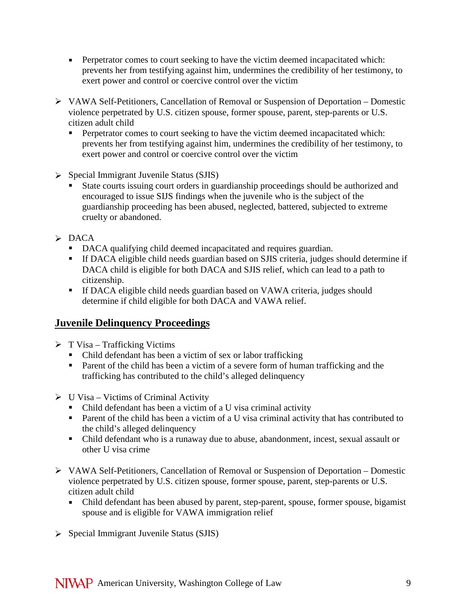- Perpetrator comes to court seeking to have the victim deemed incapacitated which: prevents her from testifying against him, undermines the credibility of her testimony, to exert power and control or coercive control over the victim
- VAWA Self-Petitioners, Cancellation of Removal or Suspension of Deportation Domestic violence perpetrated by U.S. citizen spouse, former spouse, parent, step-parents or U.S. citizen adult child
	- **Perpetrator comes to court seeking to have the victim deemed incapacitated which:** prevents her from testifying against him, undermines the credibility of her testimony, to exert power and control or coercive control over the victim
- $\triangleright$  Special Immigrant Juvenile Status (SJIS)
	- State courts issuing court orders in guardianship proceedings should be authorized and encouraged to issue SIJS findings when the juvenile who is the subject of the guardianship proceeding has been abused, neglected, battered, subjected to extreme cruelty or abandoned.

#### $\triangleright$  DACA

- DACA qualifying child deemed incapacitated and requires guardian.
- If DACA eligible child needs guardian based on SJIS criteria, judges should determine if DACA child is eligible for both DACA and SJIS relief, which can lead to a path to citizenship.
- If DACA eligible child needs guardian based on VAWA criteria, judges should determine if child eligible for both DACA and VAWA relief.

## **Juvenile Delinquency Proceedings**

- $\triangleright$  T Visa Trafficking Victims
	- Child defendant has been a victim of sex or labor trafficking
	- **Parent of the child has been a victim of a severe form of human trafficking and the** trafficking has contributed to the child's alleged delinquency
- $\triangleright$  U Visa Victims of Criminal Activity
	- Child defendant has been a victim of a U visa criminal activity
	- **Parent of the child has been a victim of a U visa criminal activity that has contributed to** the child's alleged delinquency
	- Child defendant who is a runaway due to abuse, abandonment, incest, sexual assault or other U visa crime
- VAWA Self-Petitioners, Cancellation of Removal or Suspension of Deportation Domestic violence perpetrated by U.S. citizen spouse, former spouse, parent, step-parents or U.S. citizen adult child
	- Child defendant has been abused by parent, step-parent, spouse, former spouse, bigamist spouse and is eligible for VAWA immigration relief
- $\triangleright$  Special Immigrant Juvenile Status (SJIS)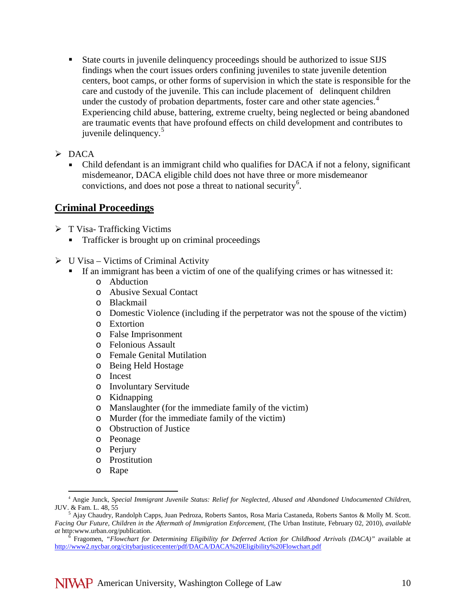State courts in juvenile delinquency proceedings should be authorized to issue SIJS findings when the court issues orders confining juveniles to state juvenile detention centers, boot camps, or other forms of supervision in which the state is responsible for the care and custody of the juvenile. This can include placement of delinquent children under the custody of probation departments, foster care and other state agencies.<sup>[4](#page-9-0)</sup> Experiencing child abuse, battering, extreme cruelty, being neglected or being abandoned are traumatic events that have profound effects on child development and contributes to juvenile delinquency.<sup>[5](#page-9-1)</sup>

 $\triangleright$  DACA

 Child defendant is an immigrant child who qualifies for DACA if not a felony, significant misdemeanor, DACA eligible child does not have three or more misdemeanor convictions, and does not pose a threat to national security<sup>[6](#page-9-2)</sup>.

#### **Criminal Proceedings**

- $\triangleright$  T Visa- Trafficking Victims
	- **Trafficker is brought up on criminal proceedings**
- $\triangleright$  U Visa Victims of Criminal Activity
	- If an immigrant has been a victim of one of the qualifying crimes or has witnessed it:
		- o Abduction
		- o Abusive Sexual Contact
		- o Blackmail
		- o Domestic Violence (including if the perpetrator was not the spouse of the victim)
		- o Extortion
		- o False Imprisonment
		- o Felonious Assault
		- o Female Genital Mutilation
		- o Being Held Hostage
		- o Incest
		- o Involuntary Servitude
		- o Kidnapping
		- o Manslaughter (for the immediate family of the victim)
		- o Murder (for the immediate family of the victim)
		- o Obstruction of Justice
		- o Peonage
		- o Perjury
		- o Prostitution
		- o Rape

<span id="page-9-0"></span> <sup>4</sup> Angie Junck, *Special Immigrant Juvenile Status: Relief for Neglected, Abused and Abandoned Undocumented Children*, JUV. & Fam. L. 48, 55<br><sup>5</sup> Ajay Chaudry, Randolph Capps, Juan Pedroza, Roberts Santos, Rosa Maria Castaneda, Roberts Santos & Molly M. Scott.

<span id="page-9-1"></span>*Facing Our Future, Children in the Aftermath of Immigration Enforcement*, (The Urban Institute, February 02, 2010), *available at* http:www.urban.org/publication. <sup>6</sup> Fragomen, *"Flowchart for Determining Eligibility for Deferred Action for Childhood Arrivals (DACA)"* available at

<span id="page-9-2"></span><http://www2.nycbar.org/citybarjusticecenter/pdf/DACA/DACA%20Eligibility%20Flowchart.pdf>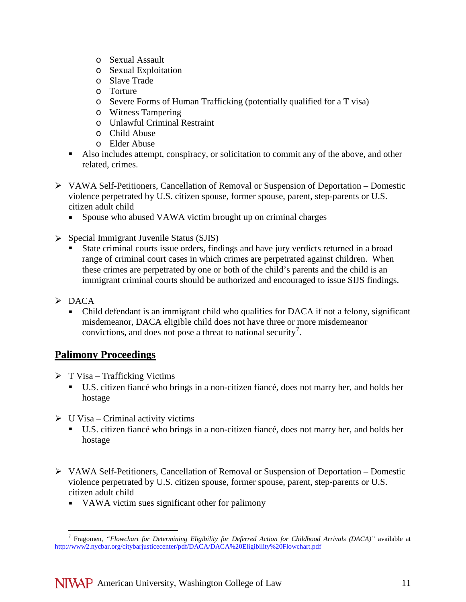- o Sexual Assault
- o Sexual Exploitation
- o Slave Trade
- o Torture
- o Severe Forms of Human Trafficking (potentially qualified for a T visa)
- o Witness Tampering
- o Unlawful Criminal Restraint
- o Child Abuse
- o Elder Abuse
- Also includes attempt, conspiracy, or solicitation to commit any of the above, and other related, crimes.
- VAWA Self-Petitioners, Cancellation of Removal or Suspension of Deportation Domestic violence perpetrated by U.S. citizen spouse, former spouse, parent, step-parents or U.S. citizen adult child
	- Spouse who abused VAWA victim brought up on criminal charges
- $\triangleright$  Special Immigrant Juvenile Status (SJIS)
	- State criminal courts issue orders, findings and have jury verdicts returned in a broad range of criminal court cases in which crimes are perpetrated against children. When these crimes are perpetrated by one or both of the child's parents and the child is an immigrant criminal courts should be authorized and encouraged to issue SIJS findings.
- $\triangleright$  DACA
	- Child defendant is an immigrant child who qualifies for DACA if not a felony, significant misdemeanor, DACA eligible child does not have three or more misdemeanor convictions, and does not pose a threat to national security<sup>[7](#page-10-0)</sup>.

## **Palimony Proceedings**

- $\triangleright$  T Visa Trafficking Victims
	- U.S. citizen fiancé who brings in a non-citizen fiancé, does not marry her, and holds her hostage
- $\triangleright$  U Visa Criminal activity victims
	- U.S. citizen fiancé who brings in a non-citizen fiancé, does not marry her, and holds her hostage
- $\triangleright$  VAWA Self-Petitioners, Cancellation of Removal or Suspension of Deportation Domestic violence perpetrated by U.S. citizen spouse, former spouse, parent, step-parents or U.S. citizen adult child
	- VAWA victim sues significant other for palimony

<span id="page-10-0"></span> <sup>7</sup> Fragomen, *"Flowchart for Determining Eligibility for Deferred Action for Childhood Arrivals (DACA)"* available at <http://www2.nycbar.org/citybarjusticecenter/pdf/DACA/DACA%20Eligibility%20Flowchart.pdf>